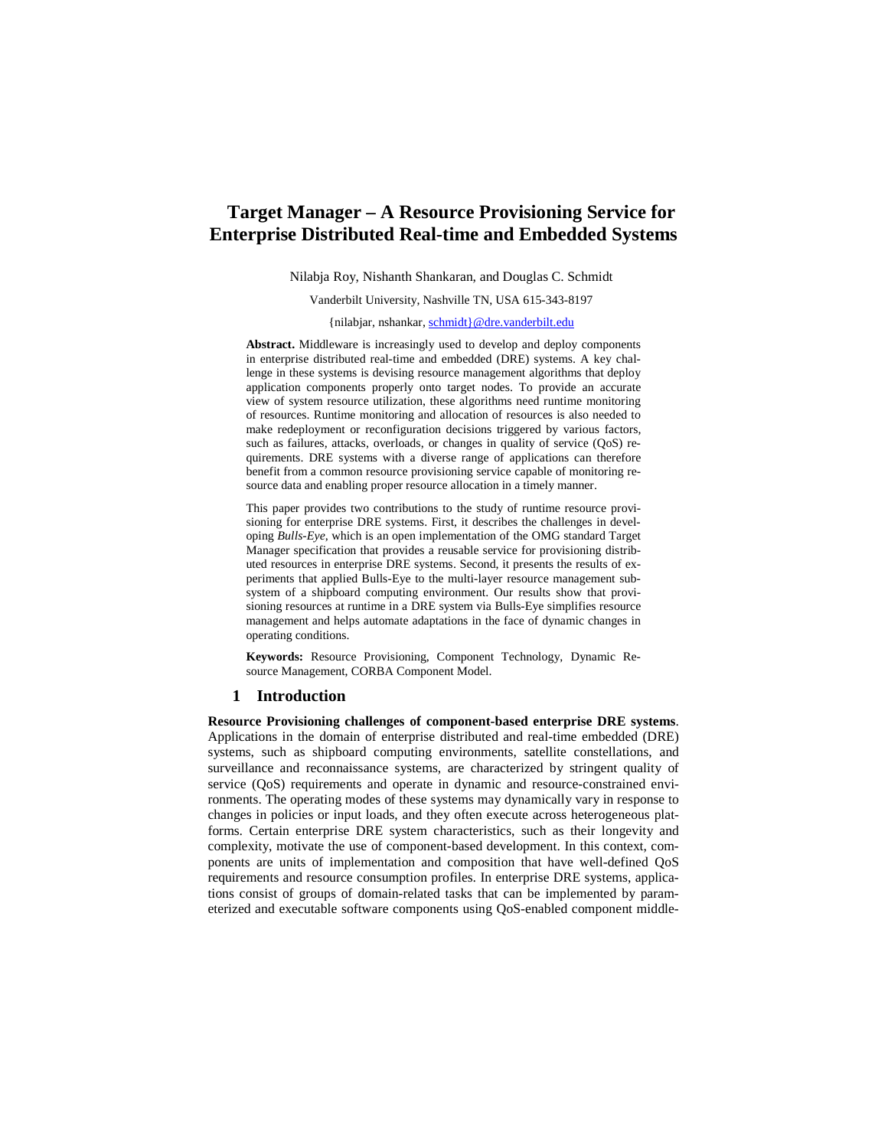# **Target Manager – A Resource Provisioning Service for Enterprise Distributed Real-time and Embedded Systems**

Nilabja Roy, Nishanth Shankaran, and Douglas C. Schmidt

Vanderbilt University, Nashville TN, USA 615-343-8197

{nilabjar, nshankar, schmidt}@dre.vanderbilt.edu

**Abstract.** Middleware is increasingly used to develop and deploy components in enterprise distributed real-time and embedded (DRE) systems. A key challenge in these systems is devising resource management algorithms that deploy application components properly onto target nodes. To provide an accurate view of system resource utilization, these algorithms need runtime monitoring of resources. Runtime monitoring and allocation of resources is also needed to make redeployment or reconfiguration decisions triggered by various factors, such as failures, attacks, overloads, or changes in quality of service (QoS) requirements. DRE systems with a diverse range of applications can therefore benefit from a common resource provisioning service capable of monitoring resource data and enabling proper resource allocation in a timely manner.

This paper provides two contributions to the study of runtime resource provisioning for enterprise DRE systems. First, it describes the challenges in developing *Bulls-Eye*, which is an open implementation of the OMG standard Target Manager specification that provides a reusable service for provisioning distributed resources in enterprise DRE systems. Second, it presents the results of experiments that applied Bulls-Eye to the multi-layer resource management subsystem of a shipboard computing environment. Our results show that provisioning resources at runtime in a DRE system via Bulls-Eye simplifies resource management and helps automate adaptations in the face of dynamic changes in operating conditions.

**Keywords:** Resource Provisioning, Component Technology, Dynamic Resource Management, CORBA Component Model.

#### **1 Introduction**

**Resource Provisioning challenges of component-based enterprise DRE systems**. Applications in the domain of enterprise distributed and real-time embedded (DRE) systems, such as shipboard computing environments, satellite constellations, and surveillance and reconnaissance systems, are characterized by stringent quality of service (QoS) requirements and operate in dynamic and resource-constrained environments. The operating modes of these systems may dynamically vary in response to changes in policies or input loads, and they often execute across heterogeneous platforms. Certain enterprise DRE system characteristics, such as their longevity and complexity, motivate the use of component-based development. In this context, components are units of implementation and composition that have well-defined QoS requirements and resource consumption profiles. In enterprise DRE systems, applications consist of groups of domain-related tasks that can be implemented by parameterized and executable software components using QoS-enabled component middle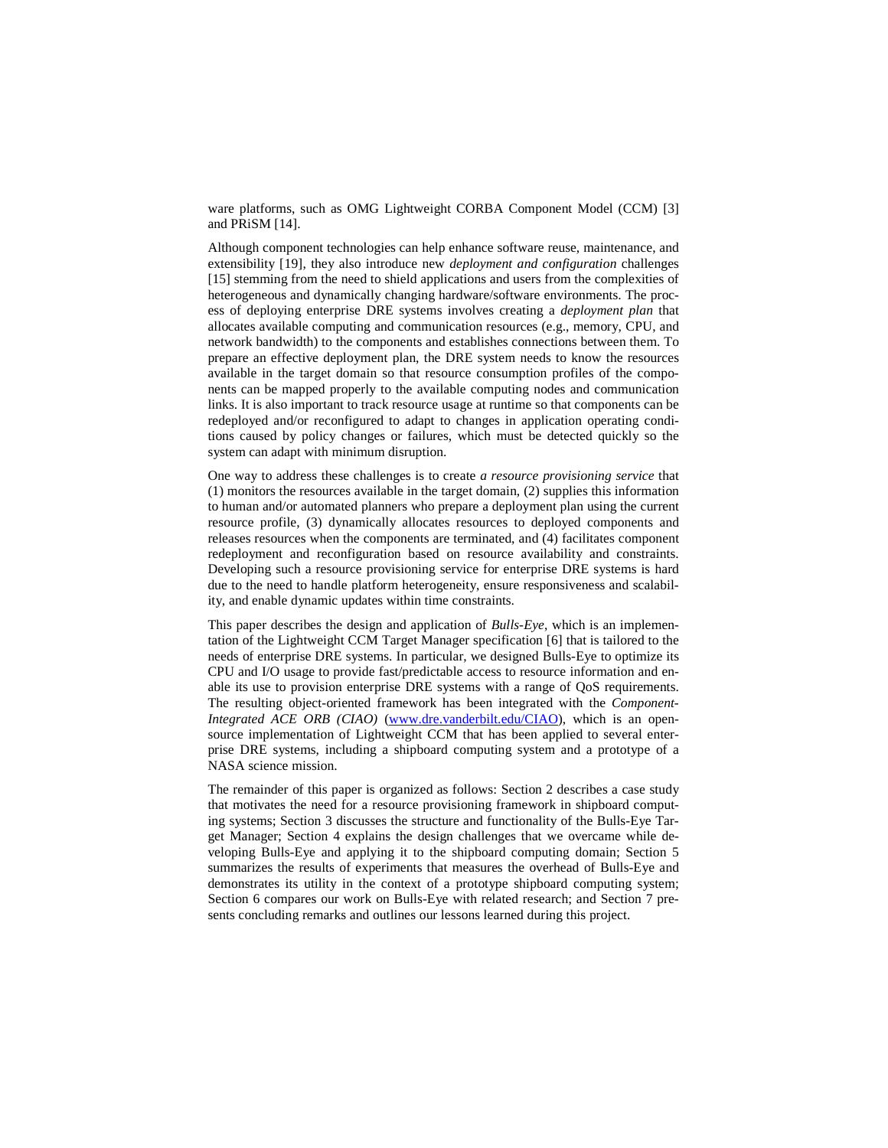ware platforms, such as OMG Lightweight CORBA Component Model (CCM) [3] and PRiSM [14].

Although component technologies can help enhance software reuse, maintenance, and extensibility [19], they also introduce new *deployment and configuration* challenges [15] stemming from the need to shield applications and users from the complexities of heterogeneous and dynamically changing hardware/software environments. The process of deploying enterprise DRE systems involves creating a *deployment plan* that allocates available computing and communication resources (e.g., memory, CPU, and network bandwidth) to the components and establishes connections between them. To prepare an effective deployment plan, the DRE system needs to know the resources available in the target domain so that resource consumption profiles of the components can be mapped properly to the available computing nodes and communication links. It is also important to track resource usage at runtime so that components can be redeployed and/or reconfigured to adapt to changes in application operating conditions caused by policy changes or failures, which must be detected quickly so the system can adapt with minimum disruption.

One way to address these challenges is to create *a resource provisioning service* that (1) monitors the resources available in the target domain, (2) supplies this information to human and/or automated planners who prepare a deployment plan using the current resource profile, (3) dynamically allocates resources to deployed components and releases resources when the components are terminated, and (4) facilitates component redeployment and reconfiguration based on resource availability and constraints. Developing such a resource provisioning service for enterprise DRE systems is hard due to the need to handle platform heterogeneity, ensure responsiveness and scalability, and enable dynamic updates within time constraints.

This paper describes the design and application of *Bulls-Eye*, which is an implementation of the Lightweight CCM Target Manager specification [6] that is tailored to the needs of enterprise DRE systems. In particular, we designed Bulls-Eye to optimize its CPU and I/O usage to provide fast/predictable access to resource information and enable its use to provision enterprise DRE systems with a range of QoS requirements. The resulting object-oriented framework has been integrated with the *Component-Integrated ACE ORB (CIAO)* (www.dre.vanderbilt.edu/CIAO), which is an opensource implementation of Lightweight CCM that has been applied to several enterprise DRE systems, including a shipboard computing system and a prototype of a NASA science mission.

The remainder of this paper is organized as follows: Section 2 describes a case study that motivates the need for a resource provisioning framework in shipboard computing systems; Section 3 discusses the structure and functionality of the Bulls-Eye Target Manager; Section 4 explains the design challenges that we overcame while developing Bulls-Eye and applying it to the shipboard computing domain; Section 5 summarizes the results of experiments that measures the overhead of Bulls-Eye and demonstrates its utility in the context of a prototype shipboard computing system; Section 6 compares our work on Bulls-Eye with related research; and Section 7 presents concluding remarks and outlines our lessons learned during this project.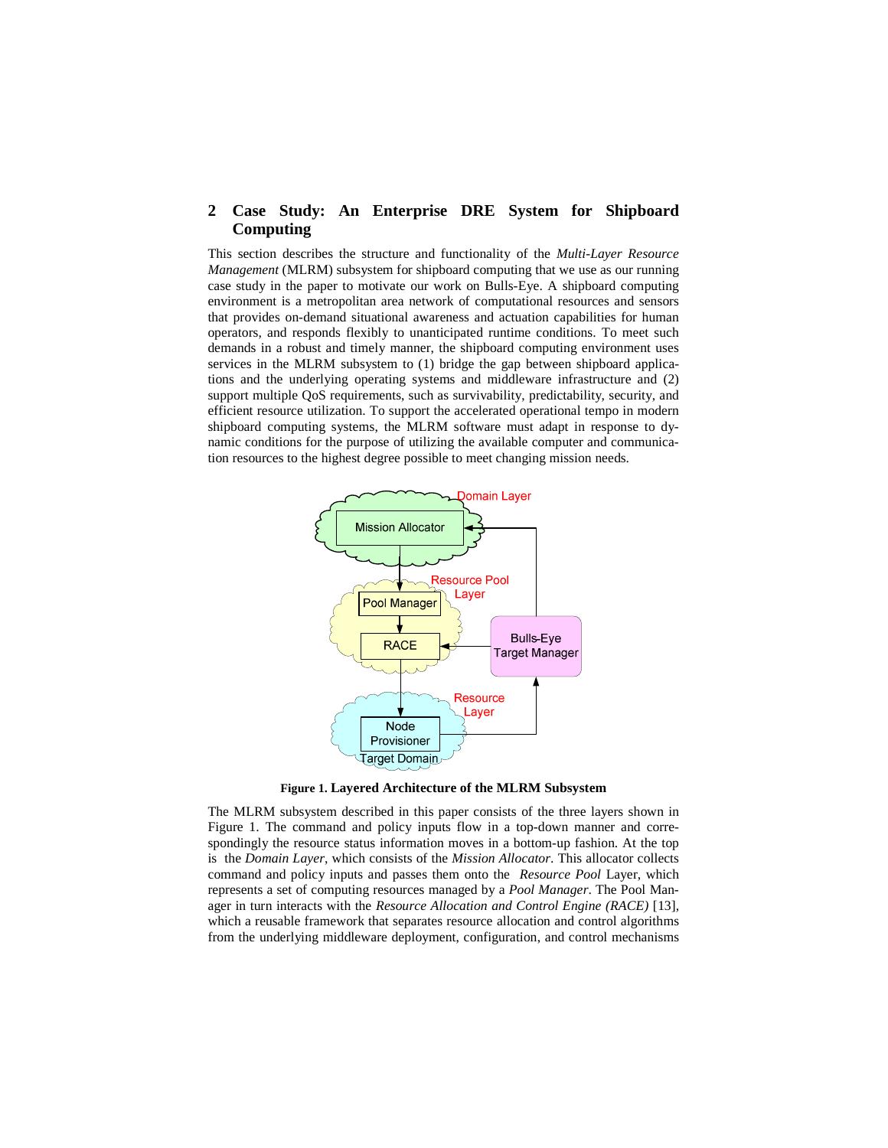# **2 Case Study: An Enterprise DRE System for Shipboard Computing**

This section describes the structure and functionality of the *Multi-Layer Resource Management* (MLRM) subsystem for shipboard computing that we use as our running case study in the paper to motivate our work on Bulls-Eye. A shipboard computing environment is a metropolitan area network of computational resources and sensors that provides on-demand situational awareness and actuation capabilities for human operators, and responds flexibly to unanticipated runtime conditions. To meet such demands in a robust and timely manner, the shipboard computing environment uses services in the MLRM subsystem to (1) bridge the gap between shipboard applications and the underlying operating systems and middleware infrastructure and (2) support multiple QoS requirements, such as survivability, predictability, security, and efficient resource utilization. To support the accelerated operational tempo in modern shipboard computing systems, the MLRM software must adapt in response to dynamic conditions for the purpose of utilizing the available computer and communication resources to the highest degree possible to meet changing mission needs.



**Figure 1. Layered Architecture of the MLRM Subsystem**

The MLRM subsystem described in this paper consists of the three layers shown in Figure 1. The command and policy inputs flow in a top-down manner and correspondingly the resource status information moves in a bottom-up fashion. At the top is the *Domain Layer*, which consists of the *Mission Allocator*. This allocator collects command and policy inputs and passes them onto the *Resource Pool* Layer, which represents a set of computing resources managed by a *Pool Manager*. The Pool Manager in turn interacts with the *Resource Allocation and Control Engine (RACE)* [13], which a reusable framework that separates resource allocation and control algorithms from the underlying middleware deployment, configuration, and control mechanisms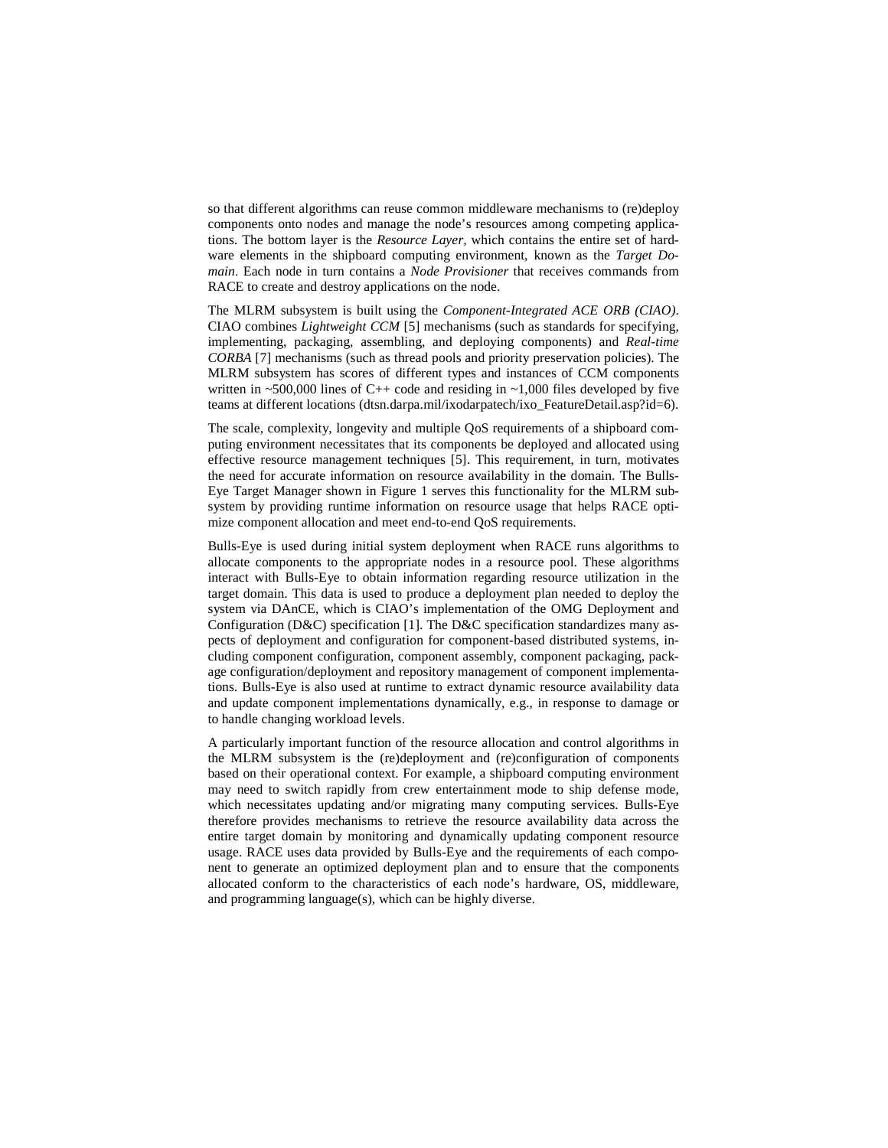so that different algorithms can reuse common middleware mechanisms to (re)deploy components onto nodes and manage the node's resources among competing applications. The bottom layer is the *Resource Layer*, which contains the entire set of hardware elements in the shipboard computing environment, known as the *Target Domain*. Each node in turn contains a *Node Provisioner* that receives commands from RACE to create and destroy applications on the node.

The MLRM subsystem is built using the *Component-Integrated ACE ORB (CIAO)*. CIAO combines *Lightweight CCM* [5] mechanisms (such as standards for specifying, implementing, packaging, assembling, and deploying components) and *Real-time CORBA* [7] mechanisms (such as thread pools and priority preservation policies). The MLRM subsystem has scores of different types and instances of CCM components written in  $\sim$  500,000 lines of C++ code and residing in  $\sim$  1,000 files developed by five teams at different locations (dtsn.darpa.mil/ixodarpatech/ixo\_FeatureDetail.asp?id=6).

The scale, complexity, longevity and multiple QoS requirements of a shipboard computing environment necessitates that its components be deployed and allocated using effective resource management techniques [5]. This requirement, in turn, motivates the need for accurate information on resource availability in the domain. The Bulls-Eye Target Manager shown in Figure 1 serves this functionality for the MLRM subsystem by providing runtime information on resource usage that helps RACE optimize component allocation and meet end-to-end QoS requirements.

Bulls-Eye is used during initial system deployment when RACE runs algorithms to allocate components to the appropriate nodes in a resource pool. These algorithms interact with Bulls-Eye to obtain information regarding resource utilization in the target domain. This data is used to produce a deployment plan needed to deploy the system via DAnCE, which is CIAO's implementation of the OMG Deployment and Configuration (D&C) specification [1]. The D&C specification standardizes many aspects of deployment and configuration for component-based distributed systems, including component configuration, component assembly, component packaging, package configuration/deployment and repository management of component implementations. Bulls-Eye is also used at runtime to extract dynamic resource availability data and update component implementations dynamically, e.g., in response to damage or to handle changing workload levels.

A particularly important function of the resource allocation and control algorithms in the MLRM subsystem is the (re)deployment and (re)configuration of components based on their operational context. For example, a shipboard computing environment may need to switch rapidly from crew entertainment mode to ship defense mode, which necessitates updating and/or migrating many computing services. Bulls-Eye therefore provides mechanisms to retrieve the resource availability data across the entire target domain by monitoring and dynamically updating component resource usage. RACE uses data provided by Bulls-Eye and the requirements of each component to generate an optimized deployment plan and to ensure that the components allocated conform to the characteristics of each node's hardware, OS, middleware, and programming language(s), which can be highly diverse.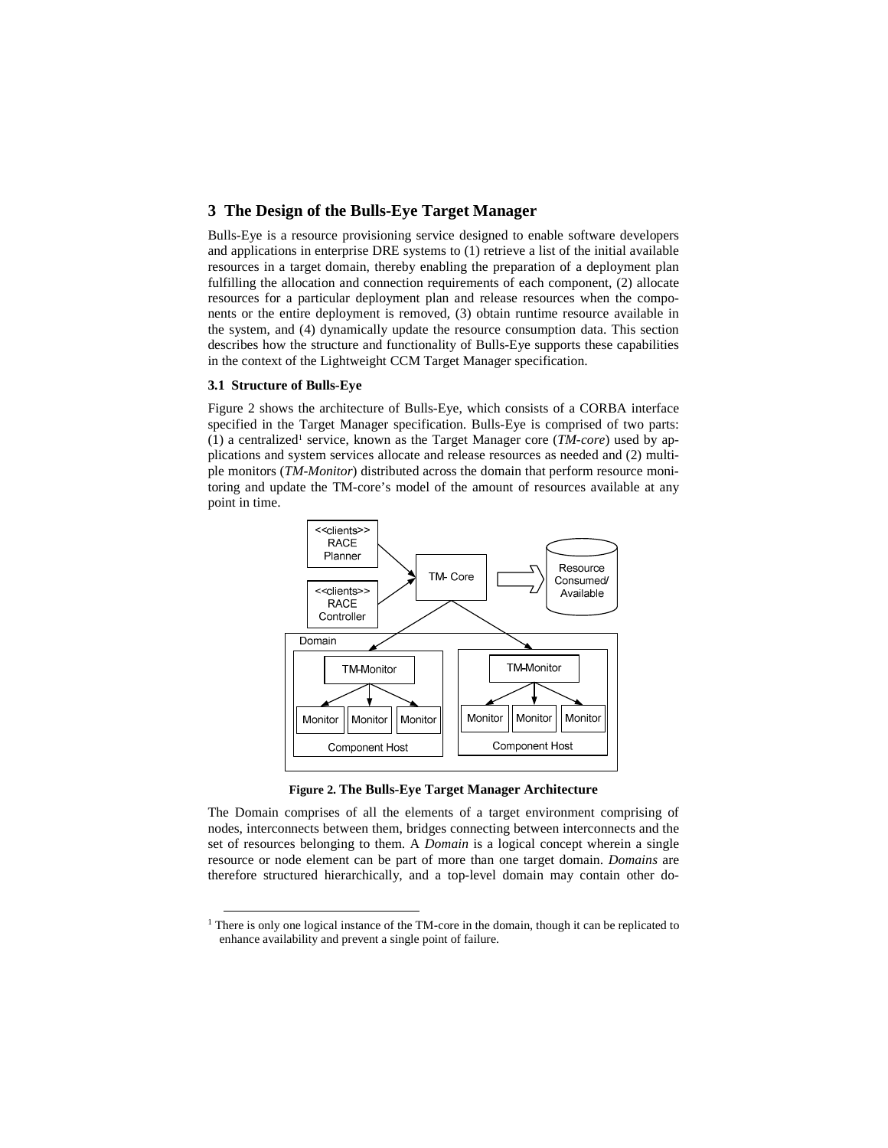# **3 The Design of the Bulls-Eye Target Manager**

Bulls-Eye is a resource provisioning service designed to enable software developers and applications in enterprise DRE systems to (1) retrieve a list of the initial available resources in a target domain, thereby enabling the preparation of a deployment plan fulfilling the allocation and connection requirements of each component, (2) allocate resources for a particular deployment plan and release resources when the components or the entire deployment is removed, (3) obtain runtime resource available in the system, and (4) dynamically update the resource consumption data. This section describes how the structure and functionality of Bulls-Eye supports these capabilities in the context of the Lightweight CCM Target Manager specification.

## **3.1 Structure of Bulls-Eye**

 $\overline{a}$ 

Figure 2 shows the architecture of Bulls-Eye, which consists of a CORBA interface specified in the Target Manager specification. Bulls-Eye is comprised of two parts: (1) a centralized<sup>1</sup> service, known as the Target Manager core (TM-core) used by applications and system services allocate and release resources as needed and (2) multiple monitors (*TM-Monitor*) distributed across the domain that perform resource monitoring and update the TM-core's model of the amount of resources available at any point in time.



**Figure 2. The Bulls-Eye Target Manager Architecture**

The Domain comprises of all the elements of a target environment comprising of nodes, interconnects between them, bridges connecting between interconnects and the set of resources belonging to them. A *Domain* is a logical concept wherein a single resource or node element can be part of more than one target domain. *Domains* are therefore structured hierarchically, and a top-level domain may contain other do-

<sup>&</sup>lt;sup>1</sup> There is only one logical instance of the TM-core in the domain, though it can be replicated to enhance availability and prevent a single point of failure.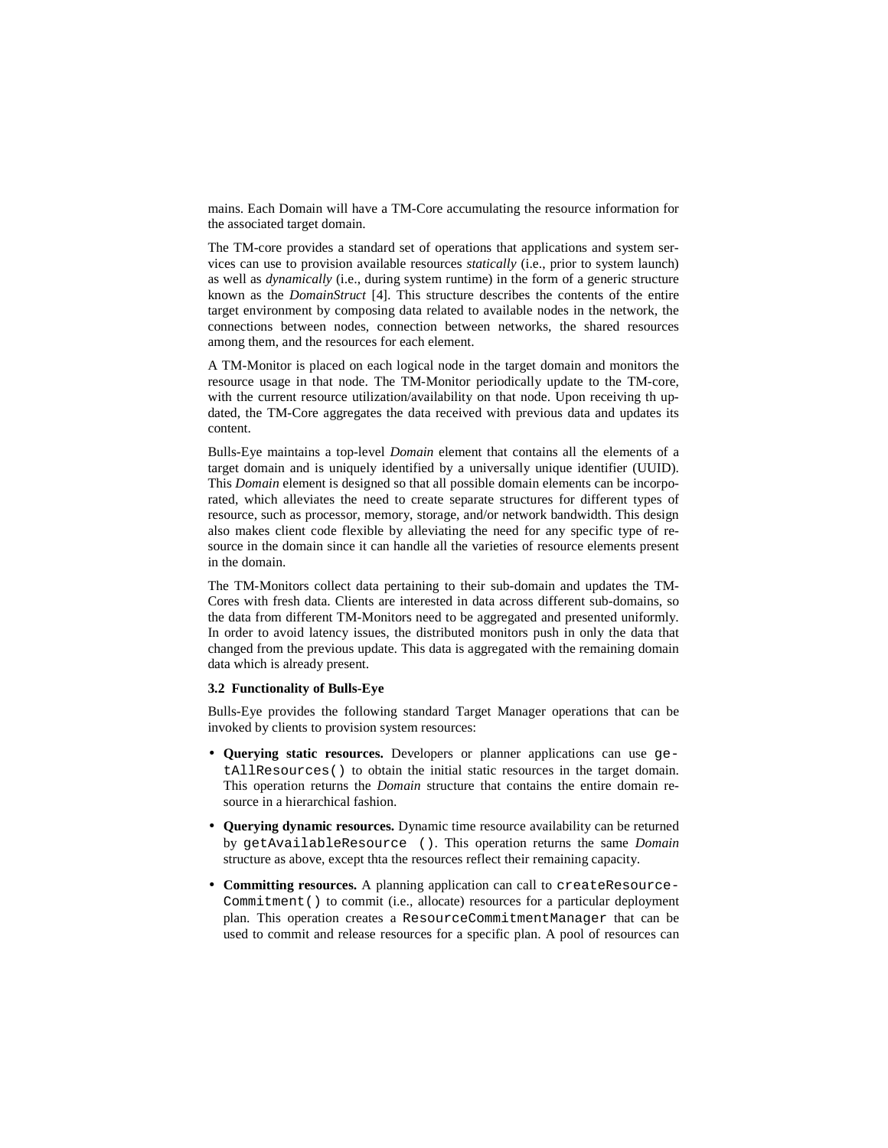mains. Each Domain will have a TM-Core accumulating the resource information for the associated target domain.

The TM-core provides a standard set of operations that applications and system services can use to provision available resources *statically* (i.e., prior to system launch) as well as *dynamically* (i.e., during system runtime) in the form of a generic structure known as the *DomainStruct* [4]*.* This structure describes the contents of the entire target environment by composing data related to available nodes in the network, the connections between nodes, connection between networks, the shared resources among them, and the resources for each element.

A TM-Monitor is placed on each logical node in the target domain and monitors the resource usage in that node. The TM-Monitor periodically update to the TM-core, with the current resource utilization/availability on that node. Upon receiving th updated, the TM-Core aggregates the data received with previous data and updates its content.

Bulls-Eye maintains a top-level *Domain* element that contains all the elements of a target domain and is uniquely identified by a universally unique identifier (UUID). This *Domain* element is designed so that all possible domain elements can be incorporated, which alleviates the need to create separate structures for different types of resource, such as processor, memory, storage, and/or network bandwidth. This design also makes client code flexible by alleviating the need for any specific type of resource in the domain since it can handle all the varieties of resource elements present in the domain.

The TM-Monitors collect data pertaining to their sub-domain and updates the TM-Cores with fresh data. Clients are interested in data across different sub-domains, so the data from different TM-Monitors need to be aggregated and presented uniformly. In order to avoid latency issues, the distributed monitors push in only the data that changed from the previous update. This data is aggregated with the remaining domain data which is already present.

## **3.2 Functionality of Bulls-Eye**

Bulls-Eye provides the following standard Target Manager operations that can be invoked by clients to provision system resources:

- **Querying static resources.** Developers or planner applications can use getAllResources() to obtain the initial static resources in the target domain. This operation returns the *Domain* structure that contains the entire domain resource in a hierarchical fashion.
- **Querying dynamic resources.** Dynamic time resource availability can be returned by getAvailableResource (). This operation returns the same *Domain*  structure as above, except thta the resources reflect their remaining capacity.
- **Committing resources.** A planning application can call to createResource-Commitment() to commit (i.e., allocate) resources for a particular deployment plan. This operation creates a ResourceCommitmentManager that can be used to commit and release resources for a specific plan. A pool of resources can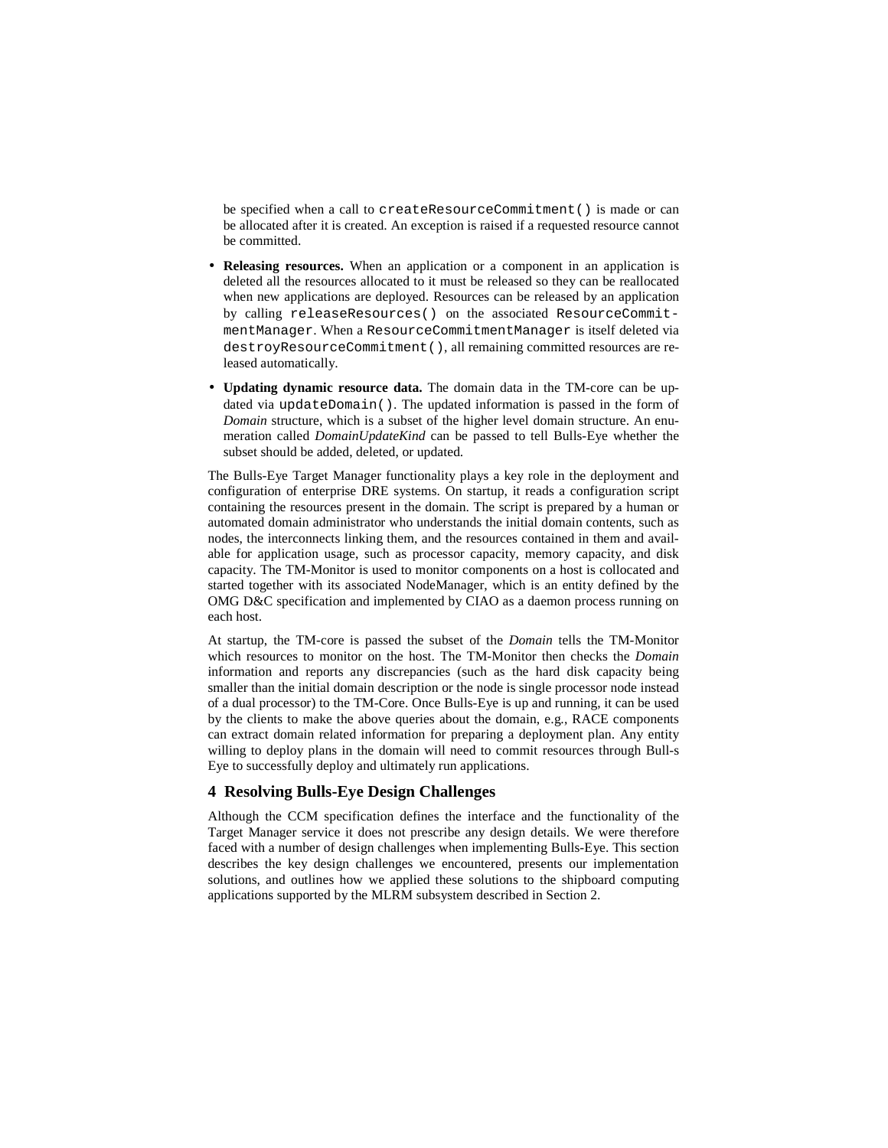be specified when a call to createResourceCommitment() is made or can be allocated after it is created. An exception is raised if a requested resource cannot be committed.

- **Releasing resources.** When an application or a component in an application is deleted all the resources allocated to it must be released so they can be reallocated when new applications are deployed. Resources can be released by an application by calling releaseResources() on the associated ResourceCommitmentManager. When a ResourceCommitmentManager is itself deleted via destroyResourceCommitment(), all remaining committed resources are released automatically.
- **Updating dynamic resource data.** The domain data in the TM-core can be updated via updateDomain(). The updated information is passed in the form of *Domain* structure, which is a subset of the higher level domain structure. An enumeration called *DomainUpdateKind* can be passed to tell Bulls-Eye whether the subset should be added, deleted, or updated.

The Bulls-Eye Target Manager functionality plays a key role in the deployment and configuration of enterprise DRE systems. On startup, it reads a configuration script containing the resources present in the domain. The script is prepared by a human or automated domain administrator who understands the initial domain contents, such as nodes, the interconnects linking them, and the resources contained in them and available for application usage, such as processor capacity, memory capacity, and disk capacity. The TM-Monitor is used to monitor components on a host is collocated and started together with its associated NodeManager, which is an entity defined by the OMG D&C specification and implemented by CIAO as a daemon process running on each host.

At startup, the TM-core is passed the subset of the *Domain* tells the TM-Monitor which resources to monitor on the host. The TM-Monitor then checks the *Domain*  information and reports any discrepancies (such as the hard disk capacity being smaller than the initial domain description or the node is single processor node instead of a dual processor) to the TM-Core. Once Bulls-Eye is up and running, it can be used by the clients to make the above queries about the domain, e.g., RACE components can extract domain related information for preparing a deployment plan. Any entity willing to deploy plans in the domain will need to commit resources through Bull-s Eye to successfully deploy and ultimately run applications.

# **4 Resolving Bulls-Eye Design Challenges**

Although the CCM specification defines the interface and the functionality of the Target Manager service it does not prescribe any design details. We were therefore faced with a number of design challenges when implementing Bulls-Eye. This section describes the key design challenges we encountered, presents our implementation solutions, and outlines how we applied these solutions to the shipboard computing applications supported by the MLRM subsystem described in Section 2.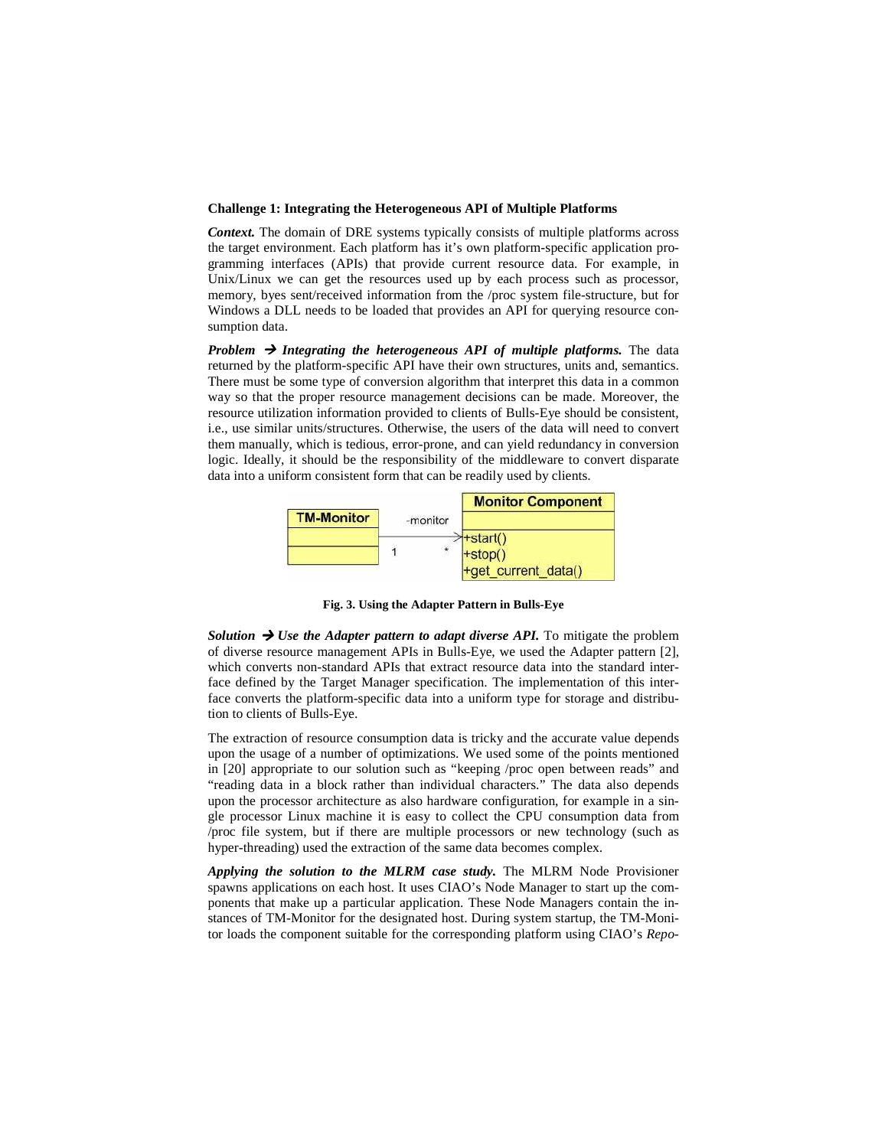#### **Challenge 1: Integrating the Heterogeneous API of Multiple Platforms**

*Context.* The domain of DRE systems typically consists of multiple platforms across the target environment. Each platform has it's own platform-specific application programming interfaces (APIs) that provide current resource data. For example, in Unix/Linux we can get the resources used up by each process such as processor, memory, byes sent/received information from the /proc system file-structure, but for Windows a DLL needs to be loaded that provides an API for querying resource consumption data.

*Problem*  $\rightarrow$  *Integrating the heterogeneous API of multiple platforms.* **The data** returned by the platform-specific API have their own structures, units and, semantics. There must be some type of conversion algorithm that interpret this data in a common way so that the proper resource management decisions can be made. Moreover, the resource utilization information provided to clients of Bulls-Eye should be consistent, i.e., use similar units/structures. Otherwise, the users of the data will need to convert them manually, which is tedious, error-prone, and can yield redundancy in conversion logic. Ideally, it should be the responsibility of the middleware to convert disparate data into a uniform consistent form that can be readily used by clients.



**Fig. 3. Using the Adapter Pattern in Bulls-Eye** 

*Solution*  $\rightarrow$  *Use the Adapter pattern to adapt diverse API.* To mitigate the problem of diverse resource management APIs in Bulls-Eye, we used the Adapter pattern [2], which converts non-standard APIs that extract resource data into the standard interface defined by the Target Manager specification. The implementation of this interface converts the platform-specific data into a uniform type for storage and distribution to clients of Bulls-Eye.

The extraction of resource consumption data is tricky and the accurate value depends upon the usage of a number of optimizations. We used some of the points mentioned in [20] appropriate to our solution such as "keeping /proc open between reads" and "reading data in a block rather than individual characters." The data also depends upon the processor architecture as also hardware configuration, for example in a single processor Linux machine it is easy to collect the CPU consumption data from /proc file system, but if there are multiple processors or new technology (such as hyper-threading) used the extraction of the same data becomes complex.

*Applying the solution to the MLRM case study.* The MLRM Node Provisioner spawns applications on each host. It uses CIAO's Node Manager to start up the components that make up a particular application. These Node Managers contain the instances of TM-Monitor for the designated host. During system startup, the TM-Monitor loads the component suitable for the corresponding platform using CIAO's *Repo-*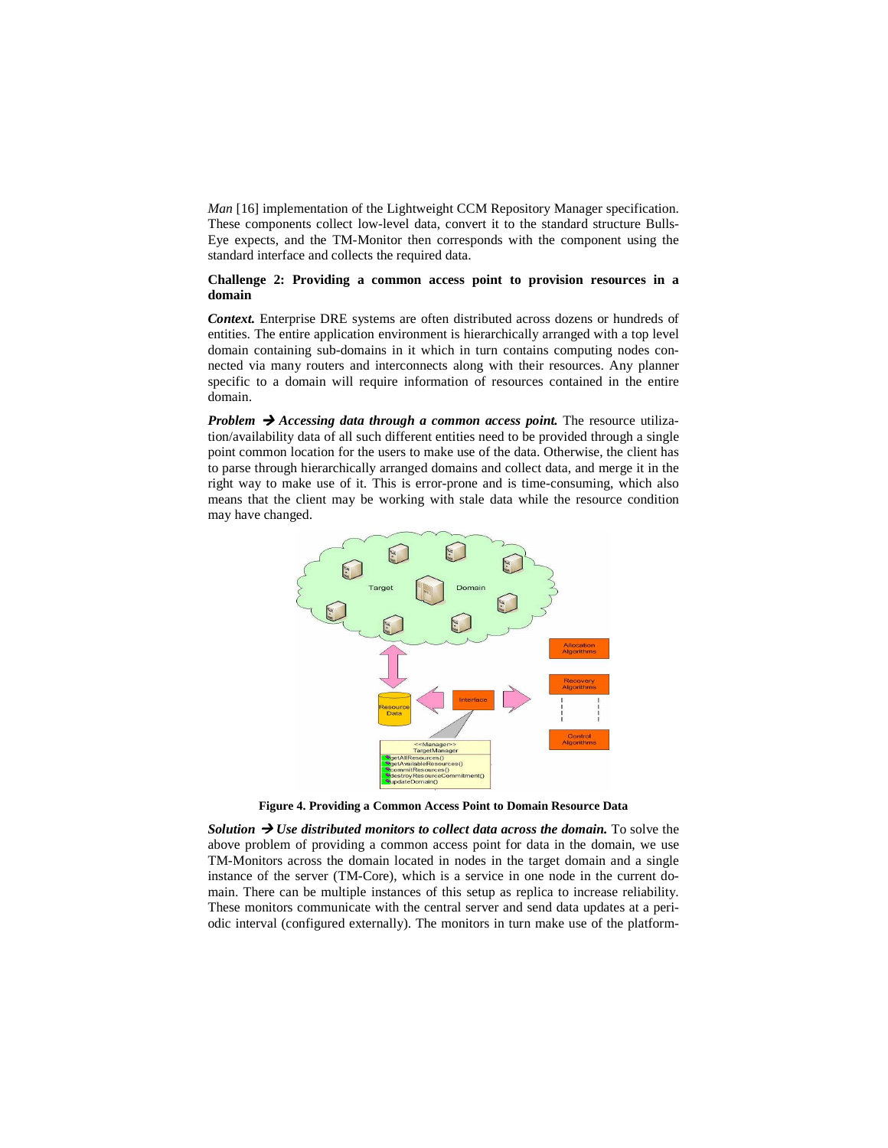*Man* [16] implementation of the Lightweight CCM Repository Manager specification. These components collect low-level data, convert it to the standard structure Bulls-Eye expects, and the TM-Monitor then corresponds with the component using the standard interface and collects the required data.

## **Challenge 2: Providing a common access point to provision resources in a domain**

*Context.* Enterprise DRE systems are often distributed across dozens or hundreds of entities. The entire application environment is hierarchically arranged with a top level domain containing sub-domains in it which in turn contains computing nodes connected via many routers and interconnects along with their resources. Any planner specific to a domain will require information of resources contained in the entire domain.

*Problem*  $\rightarrow$  *Accessing data through a common access point.* **The resource utiliza**tion/availability data of all such different entities need to be provided through a single point common location for the users to make use of the data. Otherwise, the client has to parse through hierarchically arranged domains and collect data, and merge it in the right way to make use of it. This is error-prone and is time-consuming, which also means that the client may be working with stale data while the resource condition may have changed.



**Figure 4. Providing a Common Access Point to Domain Resource Data** 

*Solution*  $\rightarrow$  *Use distributed monitors to collect data across the domain.* To solve the above problem of providing a common access point for data in the domain, we use TM-Monitors across the domain located in nodes in the target domain and a single instance of the server (TM-Core), which is a service in one node in the current domain. There can be multiple instances of this setup as replica to increase reliability. These monitors communicate with the central server and send data updates at a periodic interval (configured externally). The monitors in turn make use of the platform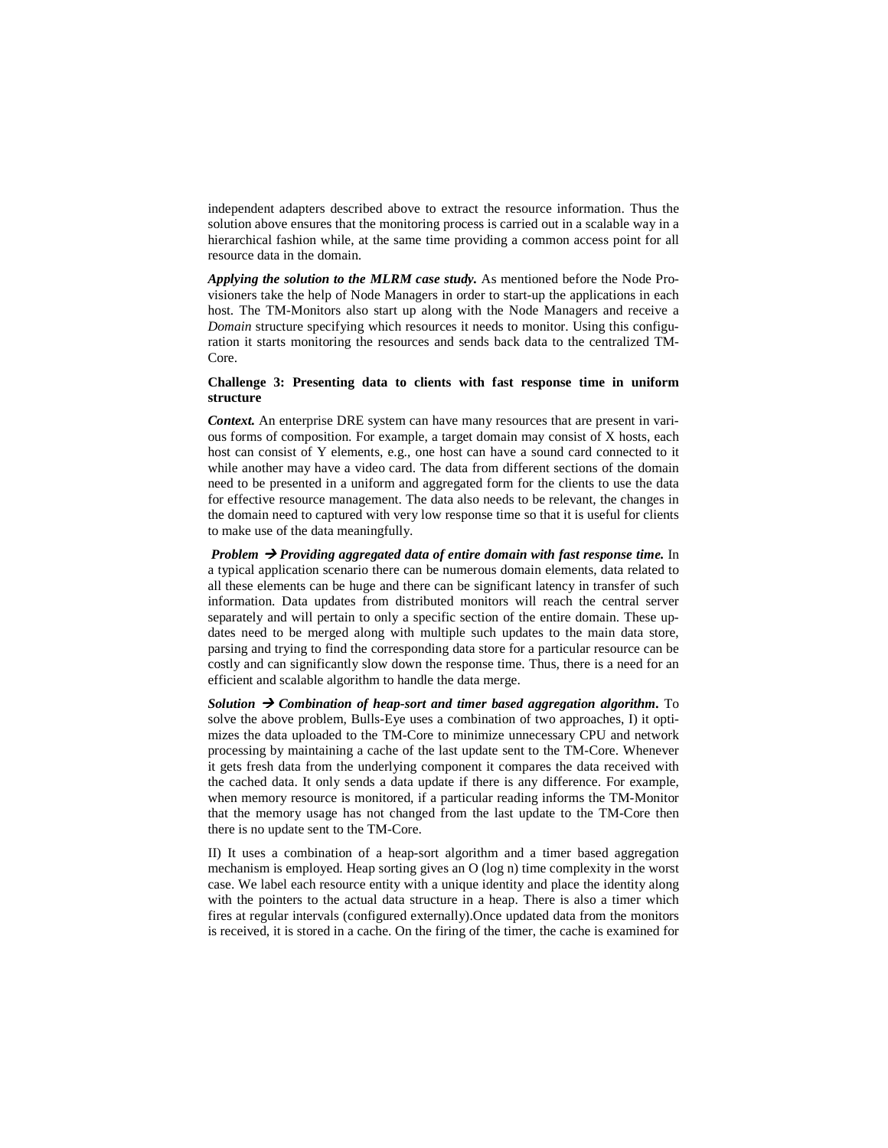independent adapters described above to extract the resource information. Thus the solution above ensures that the monitoring process is carried out in a scalable way in a hierarchical fashion while, at the same time providing a common access point for all resource data in the domain.

*Applying the solution to the MLRM case study.* As mentioned before the Node Provisioners take the help of Node Managers in order to start-up the applications in each host. The TM-Monitors also start up along with the Node Managers and receive a *Domain* structure specifying which resources it needs to monitor. Using this configuration it starts monitoring the resources and sends back data to the centralized TM-Core.

## **Challenge 3: Presenting data to clients with fast response time in uniform structure**

*Context.* An enterprise DRE system can have many resources that are present in various forms of composition. For example, a target domain may consist of X hosts, each host can consist of Y elements, e.g., one host can have a sound card connected to it while another may have a video card. The data from different sections of the domain need to be presented in a uniform and aggregated form for the clients to use the data for effective resource management. The data also needs to be relevant, the changes in the domain need to captured with very low response time so that it is useful for clients to make use of the data meaningfully.

 *Problem Providing aggregated data of entire domain with fast response time.* In a typical application scenario there can be numerous domain elements, data related to all these elements can be huge and there can be significant latency in transfer of such information. Data updates from distributed monitors will reach the central server separately and will pertain to only a specific section of the entire domain. These updates need to be merged along with multiple such updates to the main data store, parsing and trying to find the corresponding data store for a particular resource can be costly and can significantly slow down the response time. Thus, there is a need for an efficient and scalable algorithm to handle the data merge.

*Solution*  $\rightarrow$  *Combination of heap-sort and timer based aggregation algorithm.* To solve the above problem, Bulls-Eye uses a combination of two approaches, I) it optimizes the data uploaded to the TM-Core to minimize unnecessary CPU and network processing by maintaining a cache of the last update sent to the TM-Core. Whenever it gets fresh data from the underlying component it compares the data received with the cached data. It only sends a data update if there is any difference. For example, when memory resource is monitored, if a particular reading informs the TM-Monitor that the memory usage has not changed from the last update to the TM-Core then there is no update sent to the TM-Core.

II) It uses a combination of a heap-sort algorithm and a timer based aggregation mechanism is employed. Heap sorting gives an O (log n) time complexity in the worst case. We label each resource entity with a unique identity and place the identity along with the pointers to the actual data structure in a heap. There is also a timer which fires at regular intervals (configured externally).Once updated data from the monitors is received, it is stored in a cache. On the firing of the timer, the cache is examined for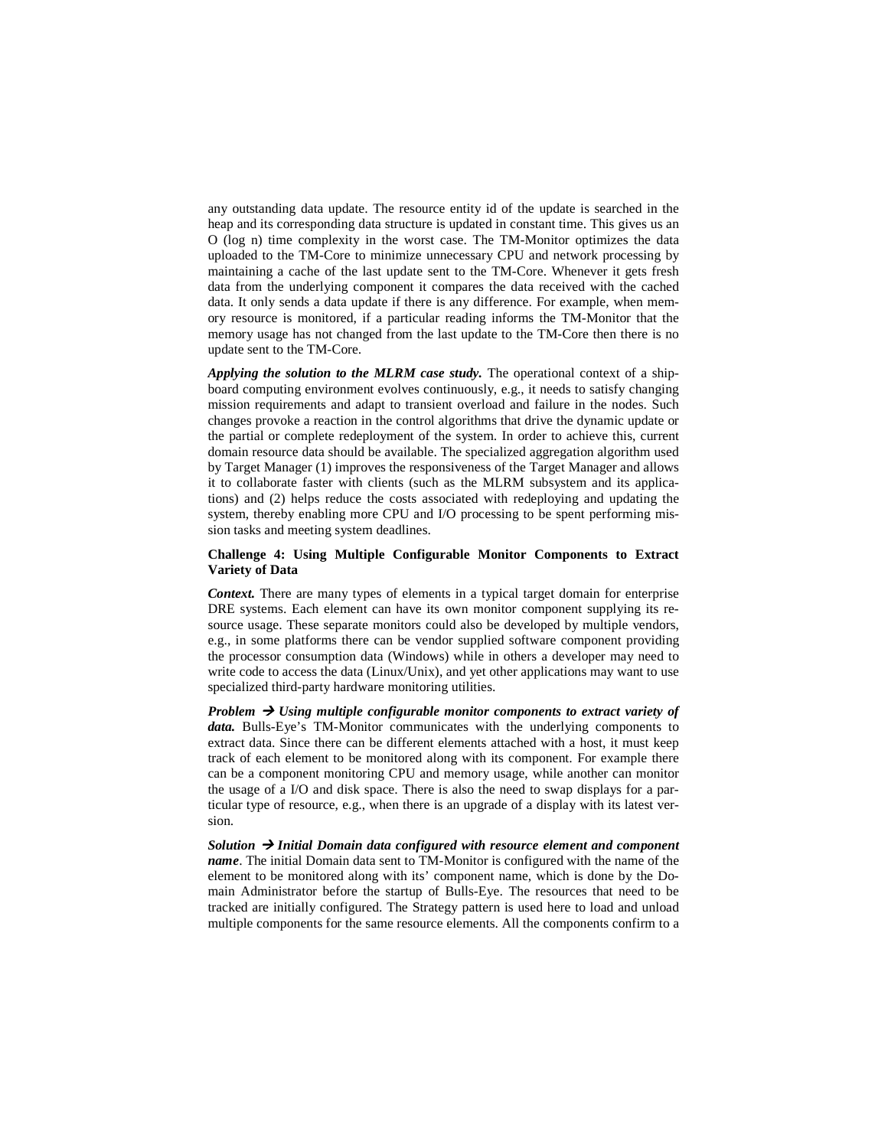any outstanding data update. The resource entity id of the update is searched in the heap and its corresponding data structure is updated in constant time. This gives us an O (log n) time complexity in the worst case. The TM-Monitor optimizes the data uploaded to the TM-Core to minimize unnecessary CPU and network processing by maintaining a cache of the last update sent to the TM-Core. Whenever it gets fresh data from the underlying component it compares the data received with the cached data. It only sends a data update if there is any difference. For example, when memory resource is monitored, if a particular reading informs the TM-Monitor that the memory usage has not changed from the last update to the TM-Core then there is no update sent to the TM-Core.

*Applying the solution to the MLRM case study.* The operational context of a shipboard computing environment evolves continuously, e.g., it needs to satisfy changing mission requirements and adapt to transient overload and failure in the nodes. Such changes provoke a reaction in the control algorithms that drive the dynamic update or the partial or complete redeployment of the system. In order to achieve this, current domain resource data should be available. The specialized aggregation algorithm used by Target Manager (1) improves the responsiveness of the Target Manager and allows it to collaborate faster with clients (such as the MLRM subsystem and its applications) and (2) helps reduce the costs associated with redeploying and updating the system, thereby enabling more CPU and I/O processing to be spent performing mission tasks and meeting system deadlines.

#### **Challenge 4: Using Multiple Configurable Monitor Components to Extract Variety of Data**

*Context.* There are many types of elements in a typical target domain for enterprise DRE systems. Each element can have its own monitor component supplying its resource usage. These separate monitors could also be developed by multiple vendors, e.g., in some platforms there can be vendor supplied software component providing the processor consumption data (Windows) while in others a developer may need to write code to access the data (Linux/Unix), and yet other applications may want to use specialized third-party hardware monitoring utilities.

*Problem*  $\rightarrow$  *Using multiple configurable monitor components to extract variety of data.* Bulls-Eye's TM-Monitor communicates with the underlying components to extract data. Since there can be different elements attached with a host, it must keep track of each element to be monitored along with its component. For example there can be a component monitoring CPU and memory usage, while another can monitor the usage of a I/O and disk space. There is also the need to swap displays for a particular type of resource, e.g., when there is an upgrade of a display with its latest version.

*Solution Initial Domain data configured with resource element and component name*. The initial Domain data sent to TM-Monitor is configured with the name of the element to be monitored along with its' component name, which is done by the Domain Administrator before the startup of Bulls-Eye. The resources that need to be tracked are initially configured. The Strategy pattern is used here to load and unload multiple components for the same resource elements. All the components confirm to a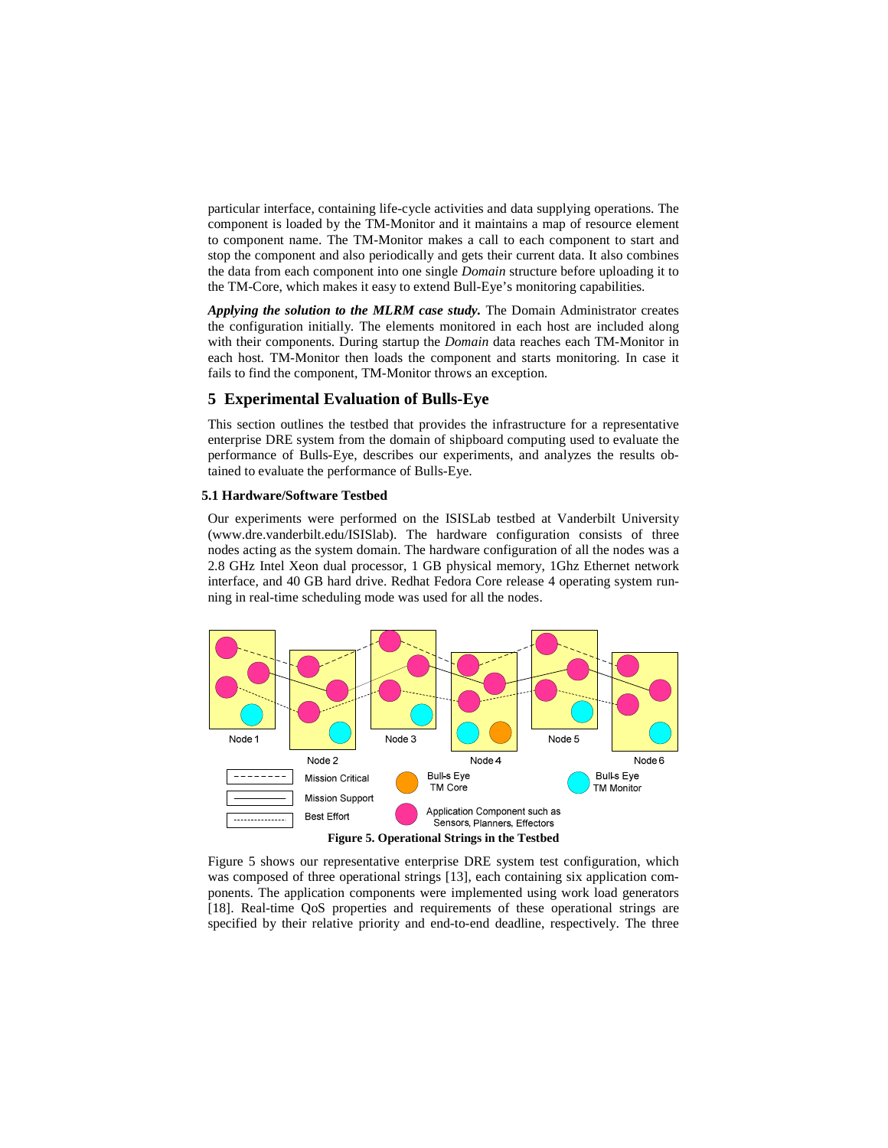particular interface, containing life-cycle activities and data supplying operations. The component is loaded by the TM-Monitor and it maintains a map of resource element to component name. The TM-Monitor makes a call to each component to start and stop the component and also periodically and gets their current data. It also combines the data from each component into one single *Domain* structure before uploading it to the TM-Core, which makes it easy to extend Bull-Eye's monitoring capabilities.

*Applying the solution to the MLRM case study.* The Domain Administrator creates the configuration initially. The elements monitored in each host are included along with their components. During startup the *Domain* data reaches each TM-Monitor in each host. TM-Monitor then loads the component and starts monitoring. In case it fails to find the component, TM-Monitor throws an exception.

# **5 Experimental Evaluation of Bulls-Eye**

This section outlines the testbed that provides the infrastructure for a representative enterprise DRE system from the domain of shipboard computing used to evaluate the performance of Bulls-Eye, describes our experiments, and analyzes the results obtained to evaluate the performance of Bulls-Eye.

#### **5.1 Hardware/Software Testbed**

Our experiments were performed on the ISISLab testbed at Vanderbilt University (www.dre.vanderbilt.edu/ISISlab). The hardware configuration consists of three nodes acting as the system domain. The hardware configuration of all the nodes was a 2.8 GHz Intel Xeon dual processor, 1 GB physical memory, 1Ghz Ethernet network interface, and 40 GB hard drive. Redhat Fedora Core release 4 operating system running in real-time scheduling mode was used for all the nodes.



Figure 5 shows our representative enterprise DRE system test configuration, which was composed of three operational strings [13], each containing six application components. The application components were implemented using work load generators [18]. Real-time QoS properties and requirements of these operational strings are specified by their relative priority and end-to-end deadline, respectively. The three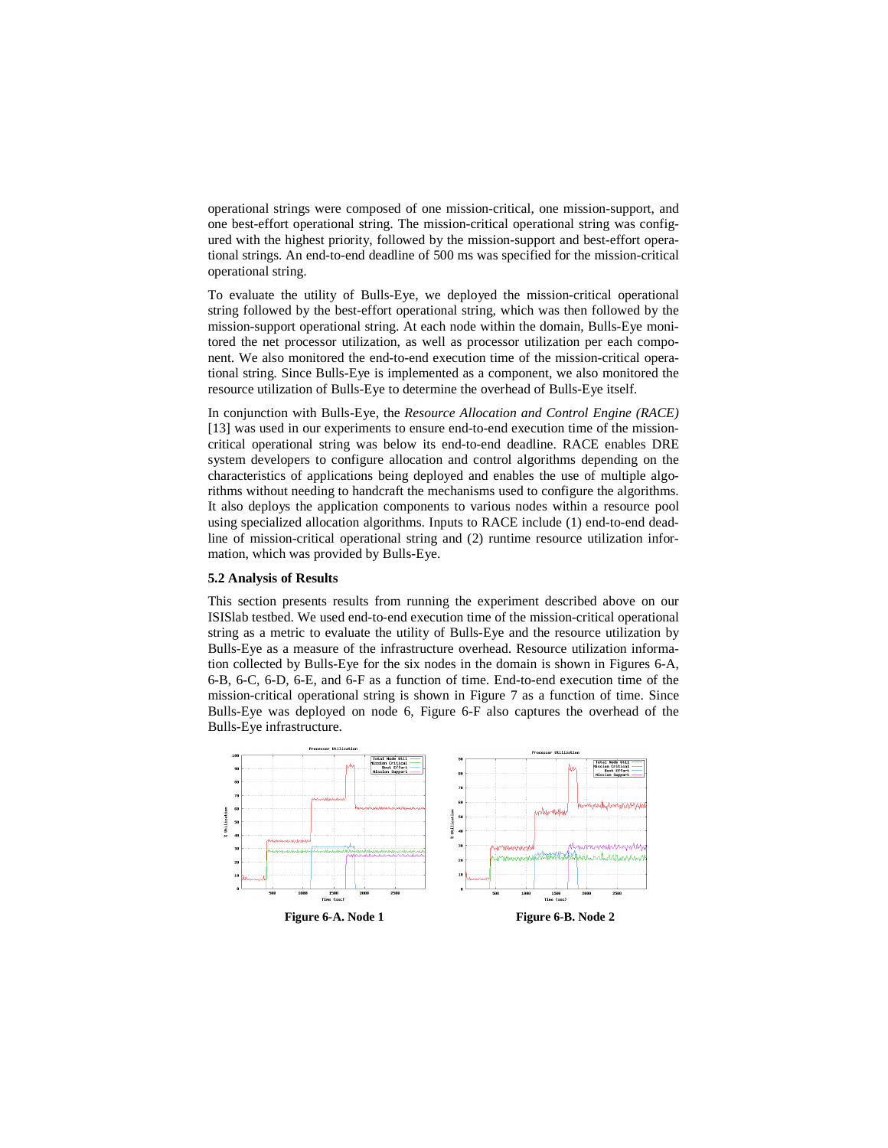operational strings were composed of one mission-critical, one mission-support, and one best-effort operational string. The mission-critical operational string was configured with the highest priority, followed by the mission-support and best-effort operational strings. An end-to-end deadline of 500 ms was specified for the mission-critical operational string.

To evaluate the utility of Bulls-Eye, we deployed the mission-critical operational string followed by the best-effort operational string, which was then followed by the mission-support operational string. At each node within the domain, Bulls-Eye monitored the net processor utilization, as well as processor utilization per each component. We also monitored the end-to-end execution time of the mission-critical operational string. Since Bulls-Eye is implemented as a component, we also monitored the resource utilization of Bulls-Eye to determine the overhead of Bulls-Eye itself.

In conjunction with Bulls-Eye, the *Resource Allocation and Control Engine (RACE)* [13] was used in our experiments to ensure end-to-end execution time of the missioncritical operational string was below its end-to-end deadline. RACE enables DRE system developers to configure allocation and control algorithms depending on the characteristics of applications being deployed and enables the use of multiple algorithms without needing to handcraft the mechanisms used to configure the algorithms. It also deploys the application components to various nodes within a resource pool using specialized allocation algorithms. Inputs to RACE include (1) end-to-end deadline of mission-critical operational string and (2) runtime resource utilization information, which was provided by Bulls-Eye.

#### **5.2 Analysis of Results**

This section presents results from running the experiment described above on our ISISlab testbed. We used end-to-end execution time of the mission-critical operational string as a metric to evaluate the utility of Bulls-Eye and the resource utilization by Bulls-Eye as a measure of the infrastructure overhead. Resource utilization information collected by Bulls-Eye for the six nodes in the domain is shown in Figures 6-A, 6-B, 6-C, 6-D, 6-E, and 6-F as a function of time. End-to-end execution time of the mission-critical operational string is shown in Figure 7 as a function of time. Since Bulls-Eye was deployed on node 6, Figure 6-F also captures the overhead of the Bulls-Eye infrastructure.

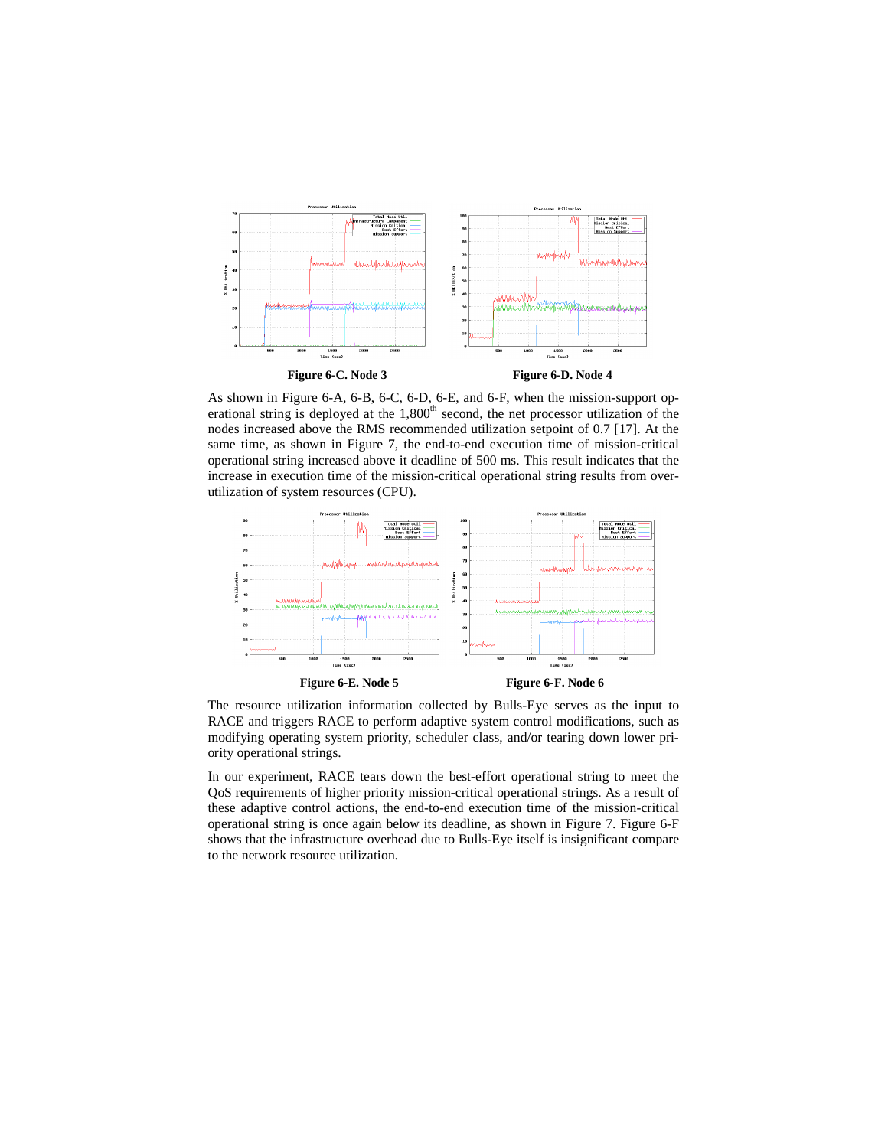

As shown in Figure 6-A, 6-B, 6-C, 6-D, 6-E, and 6-F, when the mission-support operational string is deployed at the  $1,800<sup>th</sup>$  second, the net processor utilization of the nodes increased above the RMS recommended utilization setpoint of 0.7 [17]. At the same time, as shown in Figure 7, the end-to-end execution time of mission-critical operational string increased above it deadline of 500 ms. This result indicates that the increase in execution time of the mission-critical operational string results from overutilization of system resources (CPU).



The resource utilization information collected by Bulls-Eye serves as the input to RACE and triggers RACE to perform adaptive system control modifications, such as modifying operating system priority, scheduler class, and/or tearing down lower priority operational strings.

In our experiment, RACE tears down the best-effort operational string to meet the QoS requirements of higher priority mission-critical operational strings. As a result of these adaptive control actions, the end-to-end execution time of the mission-critical operational string is once again below its deadline, as shown in Figure 7. Figure 6-F shows that the infrastructure overhead due to Bulls-Eye itself is insignificant compare to the network resource utilization.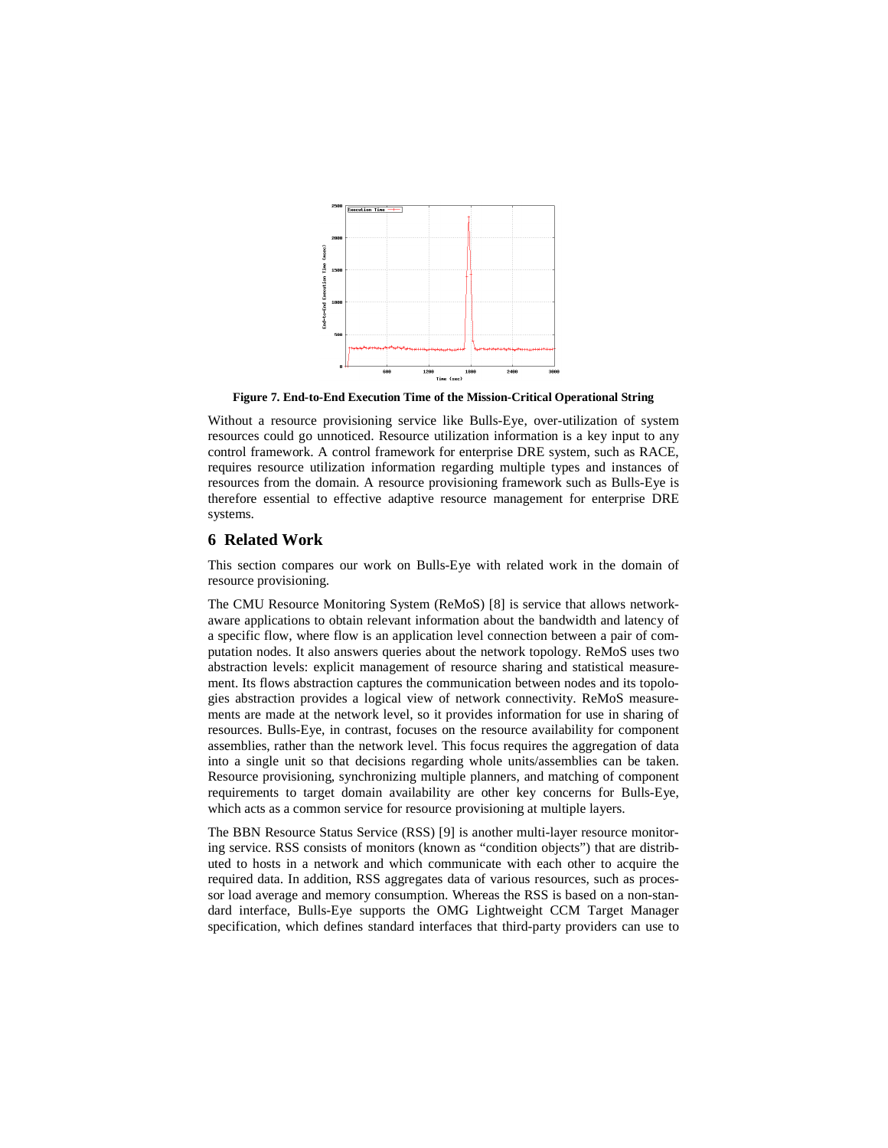

**Figure 7. End-to-End Execution Time of the Mission-Critical Operational String** 

Without a resource provisioning service like Bulls-Eye, over-utilization of system resources could go unnoticed. Resource utilization information is a key input to any control framework. A control framework for enterprise DRE system, such as RACE, requires resource utilization information regarding multiple types and instances of resources from the domain. A resource provisioning framework such as Bulls-Eye is therefore essential to effective adaptive resource management for enterprise DRE systems.

## **6 Related Work**

This section compares our work on Bulls-Eye with related work in the domain of resource provisioning.

The CMU Resource Monitoring System (ReMoS) [8] is service that allows networkaware applications to obtain relevant information about the bandwidth and latency of a specific flow, where flow is an application level connection between a pair of computation nodes. It also answers queries about the network topology. ReMoS uses two abstraction levels: explicit management of resource sharing and statistical measurement. Its flows abstraction captures the communication between nodes and its topologies abstraction provides a logical view of network connectivity. ReMoS measurements are made at the network level, so it provides information for use in sharing of resources. Bulls-Eye, in contrast, focuses on the resource availability for component assemblies, rather than the network level. This focus requires the aggregation of data into a single unit so that decisions regarding whole units/assemblies can be taken. Resource provisioning, synchronizing multiple planners, and matching of component requirements to target domain availability are other key concerns for Bulls-Eye, which acts as a common service for resource provisioning at multiple layers.

The BBN Resource Status Service (RSS) [9] is another multi-layer resource monitoring service. RSS consists of monitors (known as "condition objects") that are distributed to hosts in a network and which communicate with each other to acquire the required data. In addition, RSS aggregates data of various resources, such as processor load average and memory consumption. Whereas the RSS is based on a non-standard interface, Bulls-Eye supports the OMG Lightweight CCM Target Manager specification, which defines standard interfaces that third-party providers can use to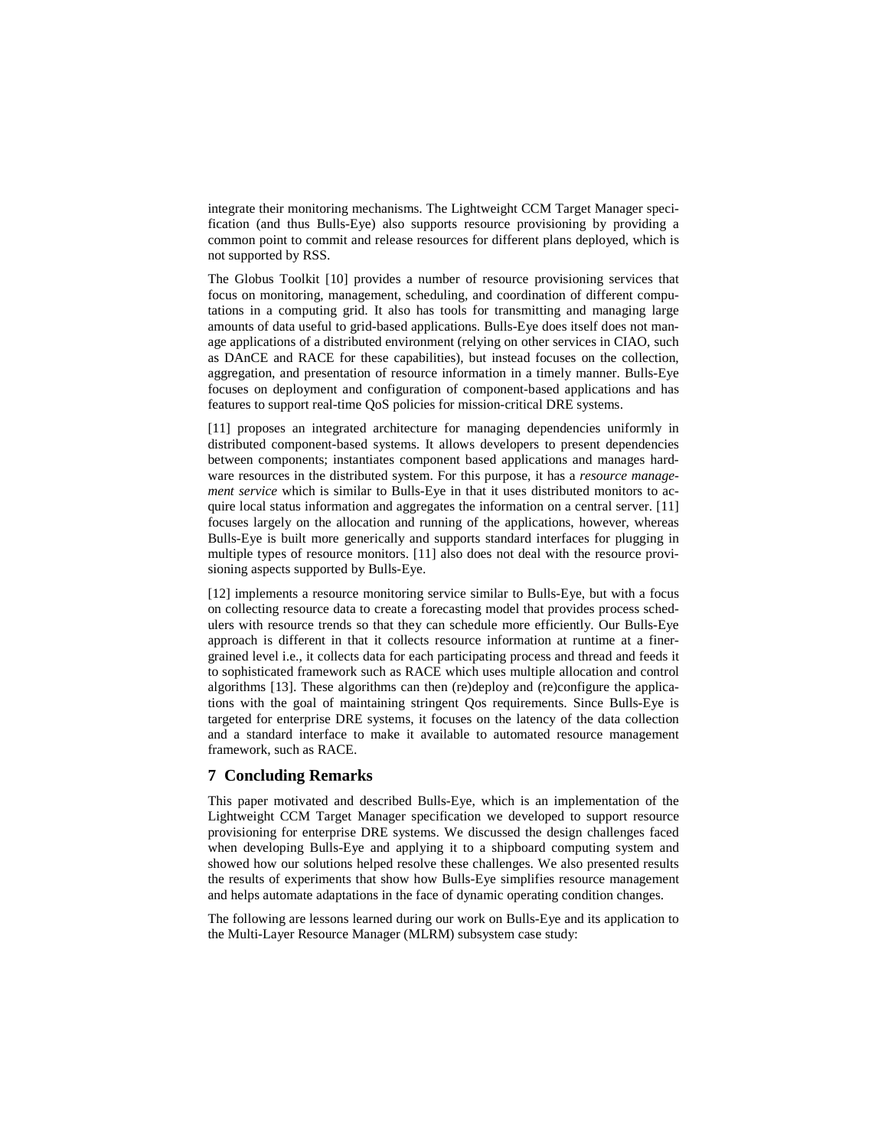integrate their monitoring mechanisms. The Lightweight CCM Target Manager specification (and thus Bulls-Eye) also supports resource provisioning by providing a common point to commit and release resources for different plans deployed, which is not supported by RSS.

The Globus Toolkit [10] provides a number of resource provisioning services that focus on monitoring, management, scheduling, and coordination of different computations in a computing grid. It also has tools for transmitting and managing large amounts of data useful to grid-based applications. Bulls-Eye does itself does not manage applications of a distributed environment (relying on other services in CIAO, such as DAnCE and RACE for these capabilities), but instead focuses on the collection, aggregation, and presentation of resource information in a timely manner. Bulls-Eye focuses on deployment and configuration of component-based applications and has features to support real-time QoS policies for mission-critical DRE systems.

[11] proposes an integrated architecture for managing dependencies uniformly in distributed component-based systems. It allows developers to present dependencies between components; instantiates component based applications and manages hardware resources in the distributed system. For this purpose, it has a *resource management service* which is similar to Bulls-Eye in that it uses distributed monitors to acquire local status information and aggregates the information on a central server. [11] focuses largely on the allocation and running of the applications, however, whereas Bulls-Eye is built more generically and supports standard interfaces for plugging in multiple types of resource monitors. [11] also does not deal with the resource provisioning aspects supported by Bulls-Eye.

[12] implements a resource monitoring service similar to Bulls-Eye, but with a focus on collecting resource data to create a forecasting model that provides process schedulers with resource trends so that they can schedule more efficiently. Our Bulls-Eye approach is different in that it collects resource information at runtime at a finergrained level i.e., it collects data for each participating process and thread and feeds it to sophisticated framework such as RACE which uses multiple allocation and control algorithms [13]. These algorithms can then (re)deploy and (re)configure the applications with the goal of maintaining stringent Qos requirements. Since Bulls-Eye is targeted for enterprise DRE systems, it focuses on the latency of the data collection and a standard interface to make it available to automated resource management framework, such as RACE.

#### **7 Concluding Remarks**

This paper motivated and described Bulls-Eye, which is an implementation of the Lightweight CCM Target Manager specification we developed to support resource provisioning for enterprise DRE systems. We discussed the design challenges faced when developing Bulls-Eye and applying it to a shipboard computing system and showed how our solutions helped resolve these challenges. We also presented results the results of experiments that show how Bulls-Eye simplifies resource management and helps automate adaptations in the face of dynamic operating condition changes.

The following are lessons learned during our work on Bulls-Eye and its application to the Multi-Layer Resource Manager (MLRM) subsystem case study: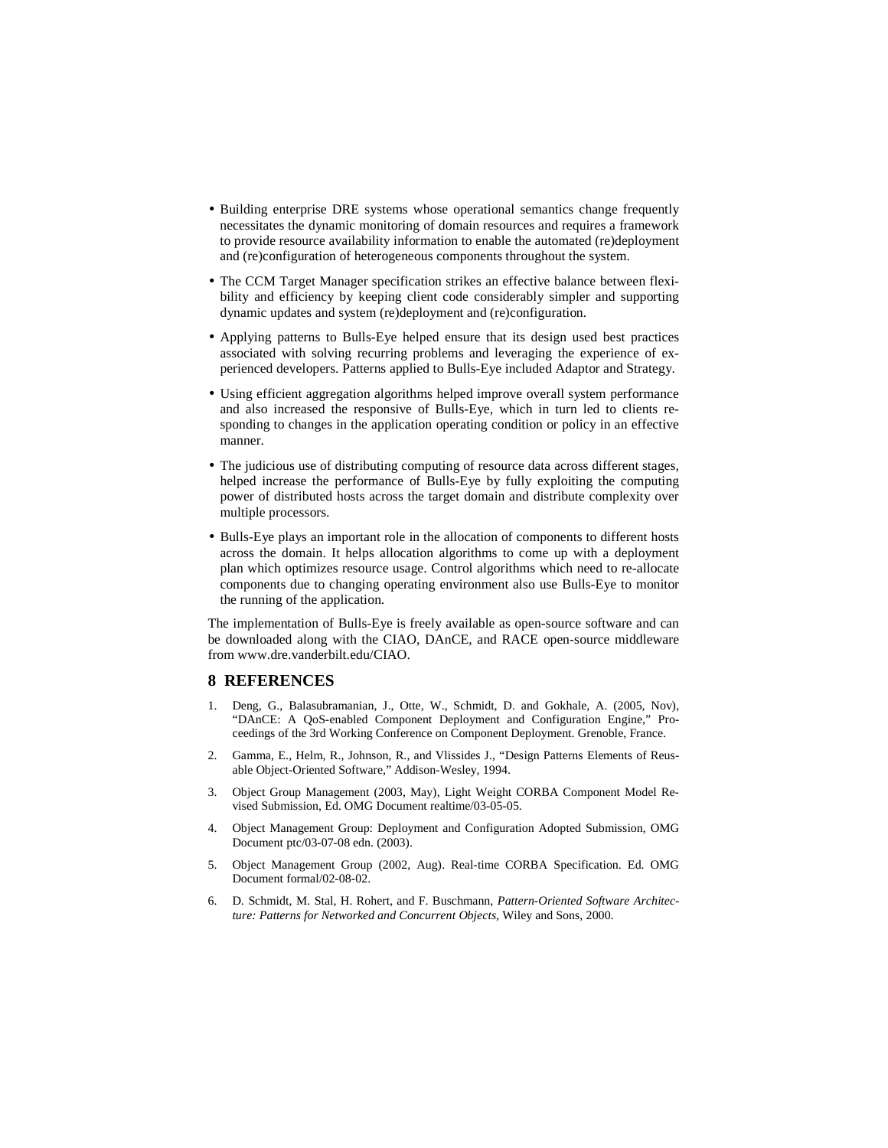- Building enterprise DRE systems whose operational semantics change frequently necessitates the dynamic monitoring of domain resources and requires a framework to provide resource availability information to enable the automated (re)deployment and (re)configuration of heterogeneous components throughout the system.
- The CCM Target Manager specification strikes an effective balance between flexibility and efficiency by keeping client code considerably simpler and supporting dynamic updates and system (re)deployment and (re)configuration.
- Applying patterns to Bulls-Eye helped ensure that its design used best practices associated with solving recurring problems and leveraging the experience of experienced developers. Patterns applied to Bulls-Eye included Adaptor and Strategy.
- Using efficient aggregation algorithms helped improve overall system performance and also increased the responsive of Bulls-Eye, which in turn led to clients responding to changes in the application operating condition or policy in an effective manner.
- The judicious use of distributing computing of resource data across different stages, helped increase the performance of Bulls-Eye by fully exploiting the computing power of distributed hosts across the target domain and distribute complexity over multiple processors.
- Bulls-Eye plays an important role in the allocation of components to different hosts across the domain. It helps allocation algorithms to come up with a deployment plan which optimizes resource usage. Control algorithms which need to re-allocate components due to changing operating environment also use Bulls-Eye to monitor the running of the application.

The implementation of Bulls-Eye is freely available as open-source software and can be downloaded along with the CIAO, DAnCE, and RACE open-source middleware from www.dre.vanderbilt.edu/CIAO.

#### **8 REFERENCES**

- 1. Deng, G., Balasubramanian, J., Otte, W., Schmidt, D. and Gokhale, A. (2005, Nov), "DAnCE: A QoS-enabled Component Deployment and Configuration Engine," Proceedings of the 3rd Working Conference on Component Deployment. Grenoble, France.
- 2. Gamma, E., Helm, R., Johnson, R., and Vlissides J., "Design Patterns Elements of Reusable Object-Oriented Software," Addison-Wesley, 1994.
- 3. Object Group Management (2003, May), Light Weight CORBA Component Model Revised Submission, Ed. OMG Document realtime/03-05-05.
- 4. Object Management Group: Deployment and Configuration Adopted Submission, OMG Document ptc/03-07-08 edn. (2003).
- 5. Object Management Group (2002, Aug). Real-time CORBA Specification. Ed. OMG Document formal/02-08-02
- 6. D. Schmidt, M. Stal, H. Rohert, and F. Buschmann, *Pattern-Oriented Software Architecture: Patterns for Networked and Concurrent Objects*, Wiley and Sons, 2000.